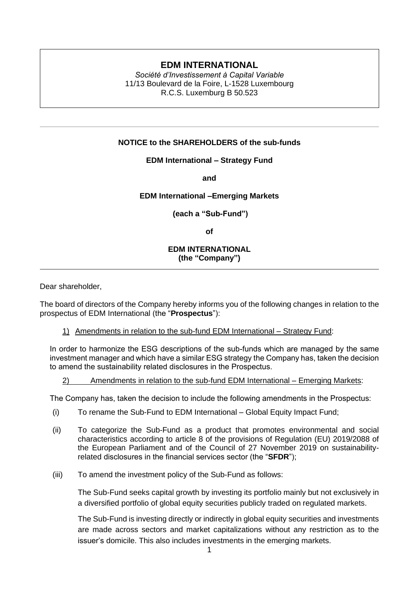# **EDM INTERNATIONAL**

*Société d'Investissement à Capital Variable* 11/13 Boulevard de la Foire, L-1528 Luxembourg R.C.S. Luxemburg B 50.523

## **NOTICE to the SHAREHOLDERS of the sub-funds**

**EDM International – Strategy Fund** 

**and**

#### **EDM International –Emerging Markets**

**(each a "Sub-Fund")**

**of** 

### **EDM INTERNATIONAL (the "Company")**

Dear shareholder,

The board of directors of the Company hereby informs you of the following changes in relation to the prospectus of EDM International (the "**Prospectus**"):

## 1) Amendments in relation to the sub-fund EDM International – Strategy Fund:

In order to harmonize the ESG descriptions of the sub-funds which are managed by the same investment manager and which have a similar ESG strategy the Company has, taken the decision to amend the sustainability related disclosures in the Prospectus.

## 2) Amendments in relation to the sub-fund EDM International – Emerging Markets:

The Company has, taken the decision to include the following amendments in the Prospectus:

- (i) To rename the Sub-Fund to EDM International Global Equity Impact Fund;
- (ii) To categorize the Sub-Fund as a product that promotes environmental and social characteristics according to article 8 of the provisions of Regulation (EU) 2019/2088 of the European Parliament and of the Council of 27 November 2019 on sustainabilityrelated disclosures in the financial services sector (the "**SFDR**");
- (iii) To amend the investment policy of the Sub-Fund as follows:

The Sub-Fund seeks capital growth by investing its portfolio mainly but not exclusively in a diversified portfolio of global equity securities publicly traded on regulated markets.

The Sub-Fund is investing directly or indirectly in global equity securities and investments are made across sectors and market capitalizations without any restriction as to the issuer's domicile. This also includes investments in the emerging markets.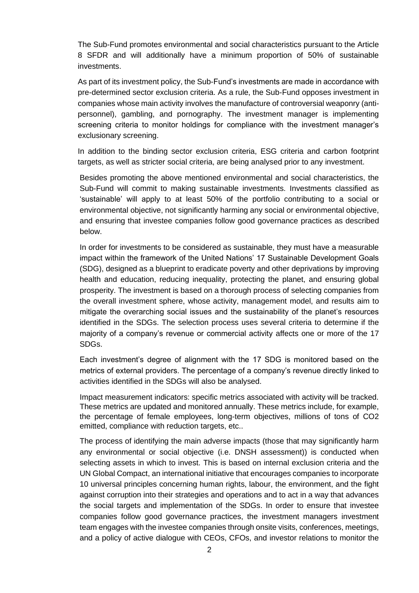The Sub-Fund promotes environmental and social characteristics pursuant to the Article 8 SFDR and will additionally have a minimum proportion of 50% of sustainable investments.

As part of its investment policy, the Sub-Fund's investments are made in accordance with pre-determined sector exclusion criteria. As a rule, the Sub-Fund opposes investment in companies whose main activity involves the manufacture of controversial weaponry (antipersonnel), gambling, and pornography. The investment manager is implementing screening criteria to monitor holdings for compliance with the investment manager's exclusionary screening.

In addition to the binding sector exclusion criteria, ESG criteria and carbon footprint targets, as well as stricter social criteria, are being analysed prior to any investment.

Besides promoting the above mentioned environmental and social characteristics, the Sub-Fund will commit to making sustainable investments. Investments classified as 'sustainable' will apply to at least 50% of the portfolio contributing to a social or environmental objective, not significantly harming any social or environmental objective, and ensuring that investee companies follow good governance practices as described below.

In order for investments to be considered as sustainable, they must have a measurable impact within the framework of the United Nations' 17 Sustainable Development Goals (SDG), designed as a blueprint to eradicate poverty and other deprivations by improving health and education, reducing inequality, protecting the planet, and ensuring global prosperity. The investment is based on a thorough process of selecting companies from the overall investment sphere, whose activity, management model, and results aim to mitigate the overarching social issues and the sustainability of the planet's resources identified in the SDGs. The selection process uses several criteria to determine if the majority of a company's revenue or commercial activity affects one or more of the 17 SDGs.

Each investment's degree of alignment with the 17 SDG is monitored based on the metrics of external providers. The percentage of a company's revenue directly linked to activities identified in the SDGs will also be analysed.

Impact measurement indicators: specific metrics associated with activity will be tracked. These metrics are updated and monitored annually. These metrics include, for example, the percentage of female employees, long-term objectives, millions of tons of CO2 emitted, compliance with reduction targets, etc..

The process of identifying the main adverse impacts (those that may significantly harm any environmental or social objective (i.e. DNSH assessment)) is conducted when selecting assets in which to invest. This is based on internal exclusion criteria and the UN Global Compact, an international initiative that encourages companies to incorporate 10 universal principles concerning human rights, labour, the environment, and the fight against corruption into their strategies and operations and to act in a way that advances the social targets and implementation of the SDGs. In order to ensure that investee companies follow good governance practices, the investment managers investment team engages with the investee companies through onsite visits, conferences, meetings, and a policy of active dialogue with CEOs, CFOs, and investor relations to monitor the